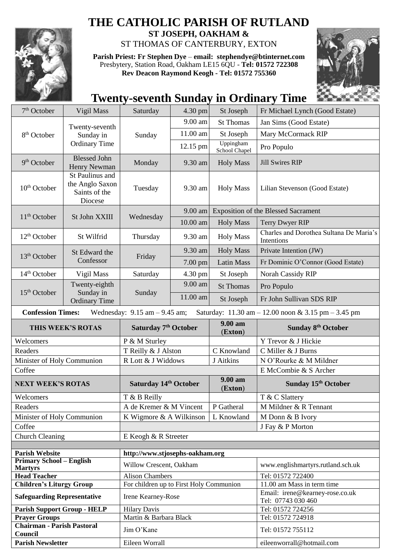

## **THE CATHOLIC PARISH OF RUTLAND**

**ST JOSEPH, OAKHAM &**  ST THOMAS OF CANTERBURY, EXTON

**Parish Priest: Fr Stephen Dye** – **[email: stephendye@btinternet.com](mailto:email:%20%20stephendye@btinternet.com)** Presbytery, Station Road, Oakham LE15 6QU - **Tel: 01572 722308 Rev Deacon Raymond Keogh - Tel: 01572 755360**



## **Twenty-seventh Sunday in Ordinary Time**

| $7th$ October                                            | Vigil Mass                                          | Saturday                                | 4.30 pm             | St Joseph             | Fr Michael Lynch (Good Estate)                                                         |
|----------------------------------------------------------|-----------------------------------------------------|-----------------------------------------|---------------------|-----------------------|----------------------------------------------------------------------------------------|
| 8 <sup>th</sup> October                                  | Twenty-seventh<br>Sunday in<br><b>Ordinary Time</b> | Sunday                                  | 9.00 am             | <b>St Thomas</b>      | Jan Sims (Good Estate)                                                                 |
|                                                          |                                                     |                                         | 11.00 am            | St Joseph             | Mary McCormack RIP                                                                     |
|                                                          |                                                     |                                         | 12.15 pm            | Uppingham             | Pro Populo                                                                             |
|                                                          |                                                     |                                         |                     | School Chapel         |                                                                                        |
| 9 <sup>th</sup> October                                  | <b>Blessed John</b><br>Henry Newman                 | Monday                                  | 9.30 am             | <b>Holy Mass</b>      | <b>Jill Swires RIP</b>                                                                 |
|                                                          | St Paulinus and                                     |                                         |                     |                       |                                                                                        |
| $10th$ October                                           | the Anglo Saxon<br>Saints of the                    | Tuesday                                 | 9.30 am             | <b>Holy Mass</b>      | Lilian Stevenson (Good Estate)                                                         |
|                                                          | Diocese                                             |                                         |                     |                       |                                                                                        |
| 11 <sup>th</sup> October                                 | St John XXIII                                       | Wednesday                               | 9.00 am             |                       | <b>Exposition of the Blessed Sacrament</b>                                             |
|                                                          |                                                     |                                         | 10.00 am            | <b>Holy Mass</b>      | Terry Dwyer RIP                                                                        |
| $12th$ October                                           | St Wilfrid                                          | Thursday                                | 9.30 am             | <b>Holy Mass</b>      | Charles and Dorothea Sultana De Maria's<br>Intentions                                  |
| $13th$ October                                           | St Edward the<br>Confessor                          | Friday                                  | 9.30 am             | <b>Holy Mass</b>      | Private Intention (JW)                                                                 |
|                                                          |                                                     |                                         | 7.00 pm             | <b>Latin Mass</b>     | Fr Dominic O'Connor (Good Estate)                                                      |
| 14 <sup>th</sup> October                                 | Vigil Mass                                          | Saturday                                | 4.30 pm             | St Joseph             | Norah Cassidy RIP                                                                      |
|                                                          | Twenty-eighth                                       | Sunday                                  | 9.00 am             | <b>St Thomas</b>      | Pro Populo                                                                             |
| $15th$ October                                           | Sunday in<br><b>Ordinary Time</b>                   |                                         | 11.00 am            | St Joseph             | Fr John Sullivan SDS RIP                                                               |
| <b>Confession Times:</b>                                 |                                                     | Wednesday: $9.15$ am $- 9.45$ am;       |                     |                       | Saturday: $11.30 \text{ am} - 12.00 \text{ noon} \& 3.15 \text{ pm} - 3.45 \text{ pm}$ |
|                                                          |                                                     |                                         |                     | 9.00 am               |                                                                                        |
| THIS WEEK'S ROTAS                                        |                                                     | Saturday 7 <sup>th</sup> October        |                     | (Exton)               | Sunday 8 <sup>th</sup> October                                                         |
| Welcomers                                                |                                                     | P & M Sturley                           |                     |                       | Y Trevor & J Hickie                                                                    |
| Readers                                                  |                                                     |                                         | T Reilly & J Alston |                       |                                                                                        |
|                                                          |                                                     |                                         |                     | C Knowland            | C Miller & J Burns                                                                     |
| Minister of Holy Communion                               |                                                     | R Lott & J Widdows                      |                     | J Aitkins             | N O'Rourke & M Mildner                                                                 |
| Coffee                                                   |                                                     |                                         |                     |                       | E McCombie & S Archer                                                                  |
| <b>NEXT WEEK'S ROTAS</b>                                 |                                                     | Saturday 14th October                   |                     | $9.00 a$ m<br>(Exton) | Sunday 15th October                                                                    |
| Welcomers                                                |                                                     | T & B Reilly                            |                     |                       | T & C Slattery                                                                         |
| Readers                                                  |                                                     | A de Kremer & M Vincent                 |                     | P Gatheral            | M Mildner & R Tennant                                                                  |
| Minister of Holy Communion                               |                                                     | K Wigmore & A Wilkinson                 |                     | L Knowland            | M Donn & B Ivory                                                                       |
| Coffee                                                   |                                                     |                                         |                     |                       | J Fay & P Morton                                                                       |
| <b>Church Cleaning</b>                                   |                                                     | E Keogh & R Streeter                    |                     |                       |                                                                                        |
|                                                          |                                                     |                                         |                     |                       |                                                                                        |
| <b>Parish Website</b><br><b>Primary School - English</b> |                                                     | http://www.stjosephs-oakham.org         |                     |                       |                                                                                        |
| <b>Martyrs</b>                                           |                                                     | Willow Crescent, Oakham                 |                     |                       | www.englishmartyrs.rutland.sch.uk                                                      |
| <b>Head Teacher</b>                                      |                                                     | <b>Alison Chambers</b>                  |                     |                       | Tel: 01572 722400                                                                      |
| <b>Children's Liturgy Group</b>                          |                                                     | For children up to First Holy Communion |                     |                       | 11.00 am Mass in term time                                                             |
| <b>Safeguarding Representative</b>                       |                                                     | Irene Kearney-Rose                      |                     |                       | Email: irene@kearney-rose.co.uk<br>Tel: 07743 030 460                                  |
| <b>Parish Support Group - HELP</b>                       |                                                     | <b>Hilary Davis</b>                     |                     |                       | Tel: 01572 724256                                                                      |
| <b>Prayer Groups</b>                                     |                                                     | Martin & Barbara Black                  |                     |                       | Tel: 01572 724918                                                                      |
| <b>Chairman - Parish Pastoral</b><br>Council             |                                                     | Jim O'Kane                              |                     |                       | Tel: 01572 755112                                                                      |